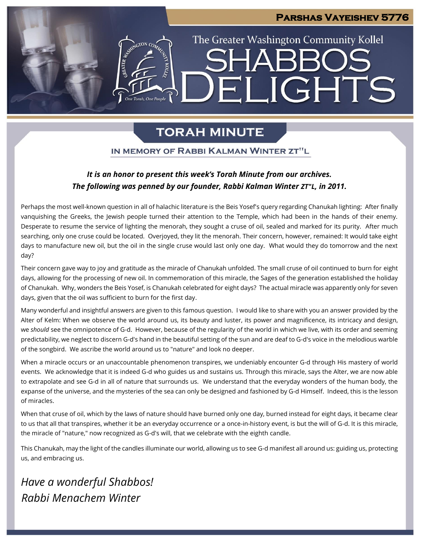## **Parshas Vayeishev 5776**

The Greater Washington Community Kollel

ELIGHTS

# **TORAH MINUTE**

 $\preceq$   $\sqcup$ 

### IN MEMORY OF RABBI KALMAN WINTER ZT"L

## *It is an honor to present this week's Torah Minute from our archives. The following was penned by our founder, Rabbi Kalman Winter ZT"L, in 2011.*

Perhaps the most well-known question in all of halachic literature is the Beis Yosef's query regarding Chanukah lighting: After finally vanquishing the Greeks, the Jewish people turned their attention to the Temple, which had been in the hands of their enemy. Desperate to resume the service of lighting the menorah, they sought a cruse of oil, sealed and marked for its purity. After much searching, only one cruse could be located. Overjoyed, they lit the menorah. Their concern, however, remained: It would take eight days to manufacture new oil, but the oil in the single cruse would last only one day. What would they do tomorrow and the next day?

Their concern gave way to joy and gratitude as the miracle of Chanukah unfolded. The small cruse of oil continued to burn for eight days, allowing for the processing of new oil. In commemoration of this miracle, the Sages of the generation established the holiday of Chanukah. Why, wonders the Beis Yosef, is Chanukah celebrated for eight days? The actual miracle was apparently only for seven days, given that the oil was sufficient to burn for the first day.

Many wonderful and insightful answers are given to this famous question. I would like to share with you an answer provided by the Alter of Kelm: When we observe the world around us, its beauty and luster, its power and magnificence, its intricacy and design, we *should* see the omnipotence of G-d. However, because of the regularity of the world in which we live, with its order and seeming predictability, we neglect to discern G-d's hand in the beautiful setting of the sun and are deaf to G-d's voice in the melodious warble of the songbird. We ascribe the world around us to "nature" and look no deeper.

When a miracle occurs or an unaccountable phenomenon transpires, we undeniably encounter G-d through His mastery of world events. We acknowledge that it is indeed G-d who guides us and sustains us. Through this miracle, says the Alter, we are now able to extrapolate and see G-d in all of nature that surrounds us. We understand that the everyday wonders of the human body, the expanse of the universe, and the mysteries of the sea can only be designed and fashioned by G-d Himself. Indeed, this is the lesson of miracles.

When that cruse of oil, which by the laws of nature should have burned only one day, burned instead for eight days, it became clear to us that all that transpires, whether it be an everyday occurrence or a once-in-history event, is but the will of G-d. It is this miracle, the miracle of "nature," now recognized as G-d's will, that we celebrate with the eighth candle.

This Chanukah, may the light of the candles illuminate our world, allowing us to see G-d manifest all around us: guiding us, protecting us, and embracing us.

*Have a wonderful Shabbos! Rabbi Menachem Winter*